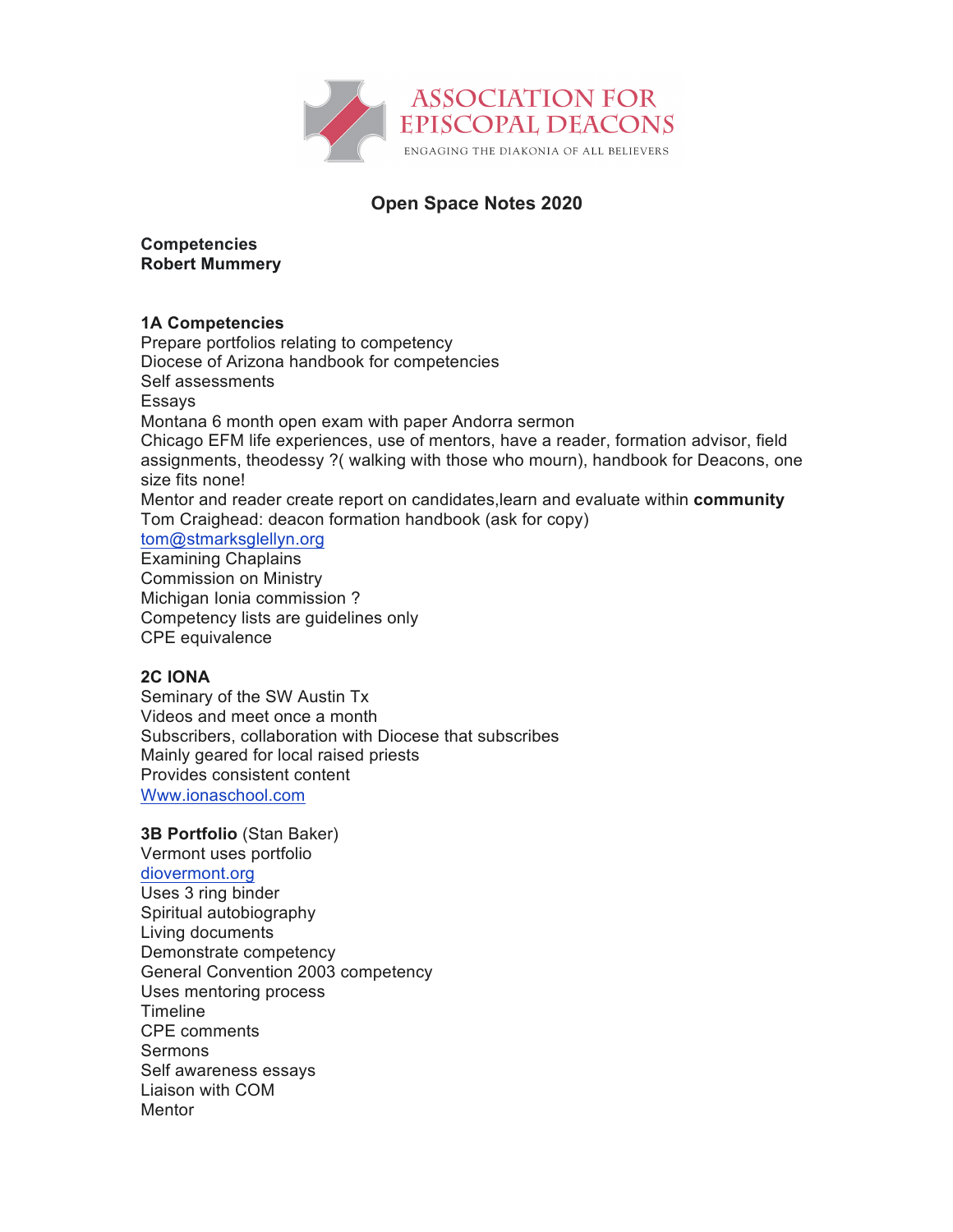

# **Open Space Notes 2020**

## **Competencies Robert Mummery**

## **1A Competencies**

Prepare portfolios relating to competency Diocese of Arizona handbook for competencies Self assessments Essays Montana 6 month open exam with paper Andorra sermon Chicago EFM life experiences, use of mentors, have a reader, formation advisor, field assignments, theodessy ?( walking with those who mourn), handbook for Deacons, one size fits none! Mentor and reader create report on candidates,learn and evaluate within **community** Tom Craighead: deacon formation handbook (ask for copy) tom@stmarksglellyn.org Examining Chaplains

Commission on Ministry Michigan Ionia commission ? Competency lists are guidelines only CPE equivalence

## **2C IONA**

Seminary of the SW Austin Tx Videos and meet once a month Subscribers, collaboration with Diocese that subscribes Mainly geared for local raised priests Provides consistent content Www.ionaschool.com

**3B Portfolio** (Stan Baker) Vermont uses portfolio diovermont.org Uses 3 ring binder Spiritual autobiography Living documents Demonstrate competency General Convention 2003 competency Uses mentoring process Timeline CPE comments Sermons Self awareness essays Liaison with COM **Mentor**